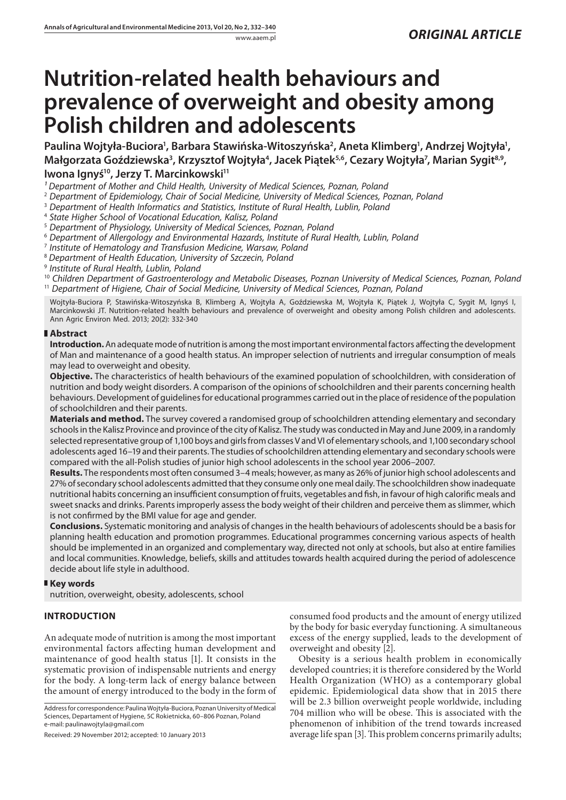# **Nutrition-related health behaviours and prevalence of overweight and obesity among Polish children and adolescents**

Paulina Wojtyła-Buciora<sup>1</sup>, Barbara Stawińska-Witoszyńska<sup>2</sup>, Aneta Klimberg<sup>1</sup>, Andrzej Wojtyła<sup>1</sup>, **Małgorzata Goździewska3 , Krzysztof Wojtyła4 , Jacek Piątek5,6, Cezary Wojtyła7 , Marian Sygit8,9,**  Iwona Ignyś<sup>10</sup>, Jerzy T. Marcinkowski<sup>11</sup>

<sup>1</sup> Department of Mother and Child Health, University of Medical Sciences, Poznan, Poland

2  *Department of Epidemiology, Chair of Social Medicine, University of Medical Sciences, Poznan, Poland*

<sup>3</sup> Department of Health Informatics and Statistics, Institute of Rural Health, Lublin, Polana

4  *State Higher School of Vocational Education, Kalisz, Poland*

5  *Department of Physiology, University of Medical Sciences, Poznan, Poland*

 $^{\rm 6}$  Department of Allergology and Environmental Hazards, Institute of Rural Health, Lublin, Polana

7  *Institute of Hematology and Transfusion Medicine, Warsaw, Poland*

<sup>8</sup> *Department of Health Education, University of Szczecin, Poland*

9  *Institute of Rural Health, Lublin, Poland*

<sup>10</sup> *Children Department of Gastroenterology and Metabolic Diseases, Poznan University of Medical Sciences, Poznan, Poland* <sup>11</sup> *Department of Higiene, Chair of Social Medicine, University of Medical Sciences, Poznan, Poland*

Wojtyła-Buciora P, Stawińska-Witoszyńska B, Klimberg A, Wojtyła A, Goździewska M, Wojtyła K, Piątek J, Wojtyła C, Sygit M, Ignyś I, Marcinkowski JT. Nutrition-related health behaviours and prevalence of overweight and obesity among Polish children and adolescents. Ann Agric Environ Med. 2013; 20(2): 332-340

# **Abstract**

**Introduction.** An adequate mode of nutrition is among the most important environmental factors affecting the development of Man and maintenance of a good health status. An improper selection of nutrients and irregular consumption of meals may lead to overweight and obesity.

**Objective.** The characteristics of health behaviours of the examined population of schoolchildren, with consideration of nutrition and body weight disorders. A comparison of the opinions of schoolchildren and their parents concerning health behaviours. Development of guidelines for educational programmes carried out in the place of residence of the population of schoolchildren and their parents.

**Materials and method.** The survey covered a randomised group of schoolchildren attending elementary and secondary schools in the Kalisz Province and province of the city of Kalisz. The study was conducted in May and June 2009, in a randomly selected representative group of 1,100 boys and girls from classes V and VI of elementary schools, and 1,100 secondary school adolescents aged 16–19 and their parents. The studies of schoolchildren attending elementary and secondary schools were compared with the all-Polish studies of junior high school adolescents in the school year 2006–2007.

**Results.** The respondents most often consumed 3–4 meals; however, as many as 26% of junior high school adolescents and 27% of secondary school adolescents admitted that they consume only one meal daily. The schoolchildren show inadequate nutritional habits concerning an insufficient consumption of fruits, vegetables and fish, in favour of high calorific meals and sweet snacks and drinks. Parents improperly assess the body weight of their children and perceive them as slimmer, which is not confirmed by the BMI value for age and gender.

**Conclusions.** Systematic monitoring and analysis of changes in the health behaviours of adolescents should be a basis for planning health education and promotion programmes. Educational programmes concerning various aspects of health should be implemented in an organized and complementary way, directed not only at schools, but also at entire families and local communities. Knowledge, beliefs, skills and attitudes towards health acquired during the period of adolescence decide about life style in adulthood.

# **Key words**

nutrition, overweight, obesity, adolescents, school

# **INTRODUCTION**

An adequate mode of nutrition is among the most important environmental factors affecting human development and maintenance of good health status [1]. It consists in the systematic provision of indispensable nutrients and energy for the body. A long-term lack of energy balance between the amount of energy introduced to the body in the form of

Address for correspondence: Paulina Wojtyła-Buciora, Poznan University of Medical Sciences, Departament of Hygiene, 5C Rokietnicka, 60–806 Poznan, Poland e-mail: paulinawojtyla@gmail.com

Received: 29 November 2012; accepted: 10 January 2013

consumed food products and the amount of energy utilized by the body for basic everyday functioning. A simultaneous excess of the energy supplied, leads to the development of overweight and obesity [2].

Obesity is a serious health problem in economically developed countries; it is therefore considered by the World Health Organization (WHO) as a contemporary global epidemic. Epidemiological data show that in 2015 there will be 2.3 billion overweight people worldwide, including 704 million who will be obese. This is associated with the phenomenon of inhibition of the trend towards increased average life span [3]. This problem concerns primarily adults;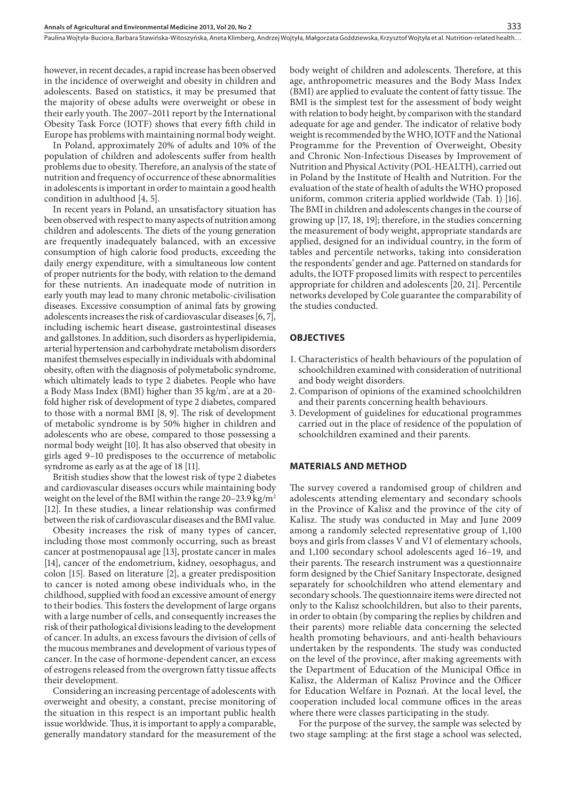however, in recent decades, a rapid increase has been observed in the incidence of overweight and obesity in children and adolescents. Based on statistics, it may be presumed that the majority of obese adults were overweight or obese in their early youth. The 2007–2011 report by the International Obesity Task Force (IOTF) shows that every fifth child in Europe has problems with maintaining normal body weight.

In Poland, approximately 20% of adults and 10% of the population of children and adolescents suffer from health problems due to obesity. Therefore, an analysis of the state of nutrition and frequency of occurrence of these abnormalities in adolescents is important in order to maintain a good health condition in adulthood [4, 5].

In recent years in Poland, an unsatisfactory situation has been observed with respect to many aspects of nutrition among children and adolescents. The diets of the young generation are frequently inadequately balanced, with an excessive consumption of high calorie food products, exceeding the daily energy expenditure, with a simultaneous low content of proper nutrients for the body, with relation to the demand for these nutrients. An inadequate mode of nutrition in early youth may lead to many chronic metabolic-civilisation diseases. Excessive consumption of animal fats by growing adolescents increases the risk of cardiovascular diseases [6, 7], including ischemic heart disease, gastrointestinal diseases and gallstones. In addition, such disorders as hyperlipidemia, arterial hypertension and carbohydrate metabolism disorders manifest themselves especially in individuals with abdominal obesity, often with the diagnosis of polymetabolic syndrome, which ultimately leads to type 2 diabetes. People who have a Body Mass Index (BMI) higher than 35 kg/m² , are at a 20 fold higher risk of development of type 2 diabetes, compared to those with a normal BMI [8, 9]. The risk of development of metabolic syndrome is by 50% higher in children and adolescents who are obese, compared to those possessing a normal body weight [10]. It has also observed that obesity in girls aged 9–10 predisposes to the occurrence of metabolic syndrome as early as at the age of 18 [11].

British studies show that the lowest risk of type 2 diabetes and cardiovascular diseases occurs while maintaining body weight on the level of the BMI within the range  $20-23.9 \text{ kg/m}^2$ [12]. In these studies, a linear relationship was confirmed between the risk of cardiovascular diseases and the BMI value.

Obesity increases the risk of many types of cancer, including those most commonly occurring, such as breast cancer at postmenopausal age [13], prostate cancer in males [14], cancer of the endometrium, kidney, oesophagus, and colon [15]. Based on literature [2], a greater predisposition to cancer is noted among obese individuals who, in the childhood, supplied with food an excessive amount of energy to their bodies. This fosters the development of large organs with a large number of cells, and consequently increases the risk of their pathological divisions leading to the development of cancer. In adults, an excess favours the division of cells of the mucous membranes and development of various types of cancer. In the case of hormone-dependent cancer, an excess of estrogens released from the overgrown fatty tissue affects their development.

Considering an increasing percentage of adolescents with overweight and obesity, a constant, precise monitoring of the situation in this respect is an important public health issue worldwide. Thus, it is important to apply a comparable, generally mandatory standard for the measurement of the

body weight of children and adolescents. Therefore, at this age, anthropometric measures and the Body Mass Index (BMI) are applied to evaluate the content of fatty tissue. The BMI is the simplest test for the assessment of body weight with relation to body height, by comparison with the standard adequate for age and gender. The indicator of relative body weight is recommended by the WHO, IOTF and the National Programme for the Prevention of Overweight, Obesity and Chronic Non-Infectious Diseases by Improvement of Nutrition and Physical Activity (POL-HEALTH), carried out in Poland by the Institute of Health and Nutrition. For the evaluation of the state of health of adults the WHO proposed uniform, common criteria applied worldwide (Tab. 1) [16]. The BMI in children and adolescents changes in the course of growing up [17, 18, 19]; therefore, in the studies concerning the measurement of body weight, appropriate standards are applied, designed for an individual country, in the form of tables and percentile networks, taking into consideration the respondents' gender and age. Patterned on standards for adults, the IOTF proposed limits with respect to percentiles appropriate for children and adolescents [20, 21]. Percentile networks developed by Cole guarantee the comparability of the studies conducted.

#### **OBJECTIVES**

- 1. Characteristics of health behaviours of the population of schoolchildren examined with consideration of nutritional and body weight disorders.
- 2. Comparison of opinions of the examined schoolchildren and their parents concerning health behaviours.
- 3. Development of guidelines for educational programmes carried out in the place of residence of the population of schoolchildren examined and their parents.

#### **MATERIALS AND METHOD**

The survey covered a randomised group of children and adolescents attending elementary and secondary schools in the Province of Kalisz and the province of the city of Kalisz. The study was conducted in May and June 2009 among a randomly selected representative group of 1,100 boys and girls from classes V and VI of elementary schools, and 1,100 secondary school adolescents aged 16–19, and their parents. The research instrument was a questionnaire form designed by the Chief Sanitary Inspectorate, designed separately for schoolchildren who attend elementary and secondary schools. The questionnaire items were directed not only to the Kalisz schoolchildren, but also to their parents, in order to obtain (by comparing the replies by children and their parents) more reliable data concerning the selected health promoting behaviours, and anti-health behaviours undertaken by the respondents. The study was conducted on the level of the province, after making agreements with the Department of Education of the Municipal Office in Kalisz, the Alderman of Kalisz Province and the Officer for Education Welfare in Poznań. At the local level, the cooperation included local commune offices in the areas where there were classes participating in the study.

For the purpose of the survey, the sample was selected by two stage sampling: at the first stage a school was selected,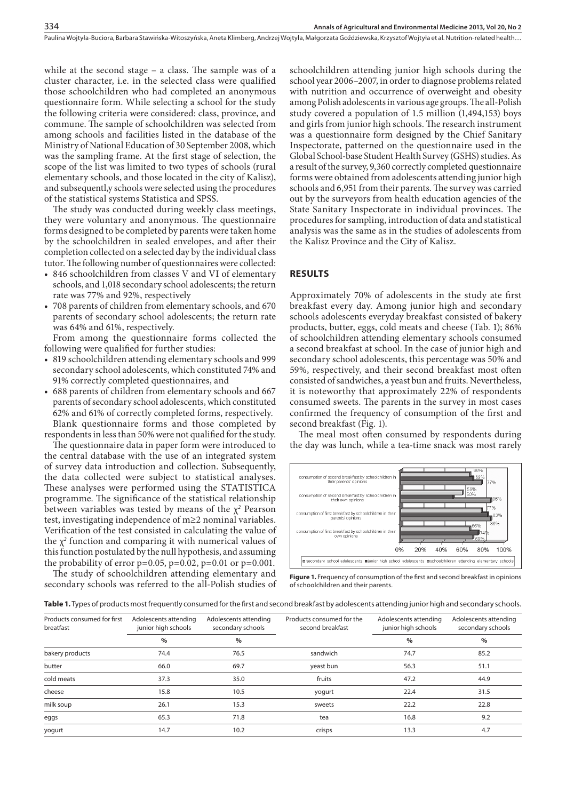while at the second stage – a class. The sample was of a cluster character, i.e. in the selected class were qualified those schoolchildren who had completed an anonymous questionnaire form. While selecting a school for the study the following criteria were considered: class, province, and commune. The sample of schoolchildren was selected from among schools and facilities listed in the database of the Ministry of National Education of 30 September 2008, which was the sampling frame. At the first stage of selection, the scope of the list was limited to two types of schools (rural elementary schools, and those located in the city of Kalisz), and subsequentl,y schools were selected using the procedures of the statistical systems Statistica and SPSS.

334

The study was conducted during weekly class meetings, they were voluntary and anonymous. The questionnaire forms designed to be completed by parents were taken home by the schoolchildren in sealed envelopes, and after their completion collected on a selected day by the individual class tutor. The following number of questionnaires were collected:

- 846 schoolchildren from classes V and VI of elementary schools, and 1,018 secondary school adolescents; the return rate was 77% and 92%, respectively
- • 708 parents of children from elementary schools, and 670 parents of secondary school adolescents; the return rate was 64% and 61%, respectively.

From among the questionnaire forms collected the following were qualified for further studies:

- • 819 schoolchildren attending elementary schools and 999 secondary school adolescents, which constituted 74% and 91% correctly completed questionnaires, and
- 688 parents of children from elementary schools and 667 parents of secondary school adolescents, which constituted 62% and 61% of correctly completed forms, respectively. Blank questionnaire forms and those completed by respondents in less than 50% were not qualified for the study.

The questionnaire data in paper form were introduced to the central database with the use of an integrated system of survey data introduction and collection. Subsequently, the data collected were subject to statistical analyses. These analyses were performed using the STATISTICA programme. The significance of the statistical relationship between variables was tested by means of the  $\chi^2$  Pearson test, investigating independence of m≥2 nominal variables. Verification of the test consisted in calculating the value of the  $\chi^2$  function and comparing it with numerical values of this function postulated by the null hypothesis, and assuming the probability of error  $p=0.05$ ,  $p=0.02$ ,  $p=0.01$  or  $p=0.001$ .

The study of schoolchildren attending elementary and secondary schools was referred to the all-Polish studies of schoolchildren attending junior high schools during the school year 2006–2007, in order to diagnose problems related with nutrition and occurrence of overweight and obesity among Polish adolescents in various age groups. The all-Polish study covered a population of 1.5 million (1,494,153) boys and girls from junior high schools. The research instrument was a questionnaire form designed by the Chief Sanitary Inspectorate, patterned on the questionnaire used in the Global School-base Student Health Survey (GSHS) studies. As a result of the survey, 9,360 correctly completed questionnaire forms were obtained from adolescents attending junior high schools and 6,951 from their parents. The survey was carried out by the surveyors from health education agencies of the State Sanitary Inspectorate in individual provinces. The procedures for sampling, introduction of data and statistical analysis was the same as in the studies of adolescents from the Kalisz Province and the City of Kalisz.

# **RESULTS**

Approximately 70% of adolescents in the study ate first breakfast every day. Among junior high and secondary schools adolescents everyday breakfast consisted of bakery products, butter, eggs, cold meats and cheese (Tab. 1); 86% of schoolchildren attending elementary schools consumed a second breakfast at school. In the case of junior high and secondary school adolescents, this percentage was 50% and 59%, respectively, and their second breakfast most often consisted of sandwiches, a yeast bun and fruits. Nevertheless, it is noteworthy that approximately 22% of respondents consumed sweets. The parents in the survey in most cases confirmed the frequency of consumption of the first and second breakfast (Fig. 1).

The meal most often consumed by respondents during the day was lunch, while a tea-time snack was most rarely



**Figure 1.** Frequency of consumption of the first and second breakfast in opinions of schoolchildren and their parents.

**Table 1.** Types of products most frequently consumed for the first and second breakfast by adolescents attending junior high and secondary schools.

| Products consumed for first<br>breatfast | Adolescents attending<br>junior high schools | Adolescents attending<br>secondary schools | Products consumed for the<br>second breakfast | Adolescents attending<br>junior high schools | Adolescents attending<br>secondary schools |
|------------------------------------------|----------------------------------------------|--------------------------------------------|-----------------------------------------------|----------------------------------------------|--------------------------------------------|
|                                          | $\%$                                         | $\%$                                       |                                               | $\%$                                         | $\%$                                       |
| bakery products                          | 74.4                                         | 76.5                                       | sandwich                                      | 74.7                                         | 85.2                                       |
| butter                                   | 66.0                                         | 69.7                                       | yeast bun                                     | 56.3                                         | 51.1                                       |
| cold meats                               | 37.3                                         | 35.0                                       | fruits                                        | 47.2                                         | 44.9                                       |
| cheese                                   | 15.8                                         | 10.5                                       | yogurt                                        | 22.4                                         | 31.5                                       |
| milk soup                                | 26.1                                         | 15.3                                       | sweets                                        | 22.2                                         | 22.8                                       |
| eggs                                     | 65.3                                         | 71.8                                       | tea                                           | 16.8                                         | 9.2                                        |
| yogurt                                   | 14.7                                         | 10.2                                       | crisps                                        | 13.3                                         | 4.7                                        |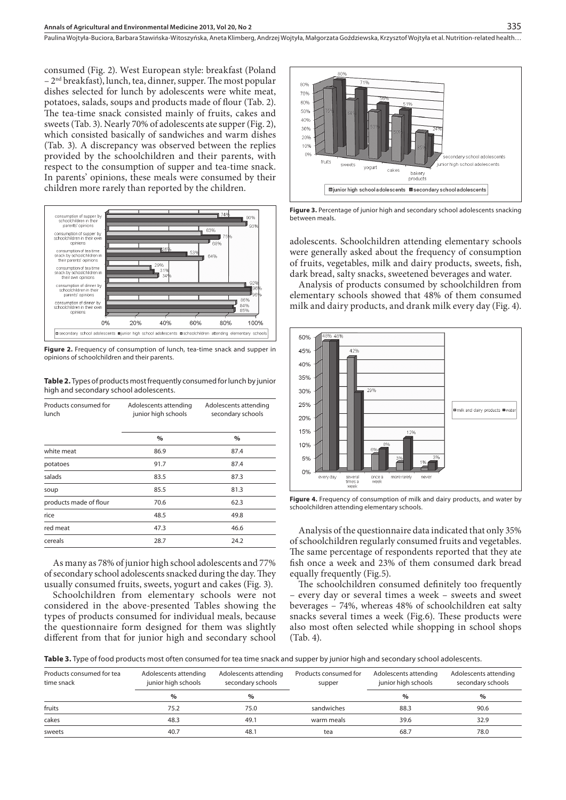consumed (Fig. 2). West European style: breakfast (Poland – 2nd breakfast), lunch, tea, dinner, supper. The most popular dishes selected for lunch by adolescents were white meat, potatoes, salads, soups and products made of flour (Tab. 2). The tea-time snack consisted mainly of fruits, cakes and sweets (Tab. 3). Nearly 70% of adolescents ate supper (Fig. 2), which consisted basically of sandwiches and warm dishes (Tab. 3). A discrepancy was observed between the replies provided by the schoolchildren and their parents, with respect to the consumption of supper and tea-time snack. In parents' opinions, these meals were consumed by their children more rarely than reported by the children.



**Figure 2.** Frequency of consumption of lunch, tea-time snack and supper in opinions of schoolchildren and their parents.

**Table 2.** Types of products most frequently consumed for lunch by junior high and secondary school adolescents.

| Products consumed for<br>lunch | Adolescents attending<br>junior high schools | Adolescents attending<br>secondary schools |  |
|--------------------------------|----------------------------------------------|--------------------------------------------|--|
|                                | $\%$                                         | $\%$                                       |  |
| white meat                     | 86.9                                         | 87.4                                       |  |
| potatoes                       | 91.7                                         | 87.4                                       |  |
| salads                         | 83.5                                         | 87.3                                       |  |
| soup                           | 85.5                                         | 81.3                                       |  |
| products made of flour         | 70.6                                         | 62.3                                       |  |
| rice                           | 48.5                                         | 49.8                                       |  |
| red meat                       | 47.3                                         | 46.6                                       |  |
| cereals                        | 28.7                                         | 24.2                                       |  |

As many as 78% of junior high school adolescents and 77% of secondary school adolescents snacked during the day. They usually consumed fruits, sweets, yogurt and cakes (Fig. 3).

Schoolchildren from elementary schools were not considered in the above-presented Tables showing the types of products consumed for individual meals, because the questionnaire form designed for them was slightly different from that for junior high and secondary school



Figure 3. Percentage of junior high and secondary school adolescents snacking between meals.

adolescents. Schoolchildren attending elementary schools were generally asked about the frequency of consumption of fruits, vegetables, milk and dairy products, sweets, fish, dark bread, salty snacks, sweetened beverages and water.

Analysis of products consumed by schoolchildren from elementary schools showed that 48% of them consumed milk and dairy products, and drank milk every day (Fig. 4).



**Figure 4.** Frequency of consumption of milk and dairy products, and water by schoolchildren attending elementary schools.

Analysis of the questionnaire data indicated that only 35% of schoolchildren regularly consumed fruits and vegetables. The same percentage of respondents reported that they ate fish once a week and 23% of them consumed dark bread equally frequently (Fig.5).

The schoolchildren consumed definitely too frequently – every day or several times a week – sweets and sweet beverages – 74%, whereas 48% of schoolchildren eat salty snacks several times a week (Fig.6). These products were also most often selected while shopping in school shops (Tab. 4).

**Table 3.** Type of food products most often consumed for tea time snack and supper by junior high and secondary school adolescents.

| Products consumed for tea<br>time snack | Adolescents attending<br>junior high schools | Adolescents attending<br>secondary schools | Products consumed for<br>supper | Adolescents attending<br>junior high schools | Adolescents attending<br>secondary schools |
|-----------------------------------------|----------------------------------------------|--------------------------------------------|---------------------------------|----------------------------------------------|--------------------------------------------|
|                                         | $\%$                                         | $\%$                                       |                                 | $\%$                                         | $\%$                                       |
| fruits                                  | 75.2                                         | 75.0                                       | sandwiches                      | 88.3                                         | 90.6                                       |
| cakes                                   | 48.3                                         | 49.1                                       | warm meals                      | 39.6                                         | 32.9                                       |
| sweets                                  | 40.7                                         | 48.1                                       | tea                             | 68.7                                         | 78.0                                       |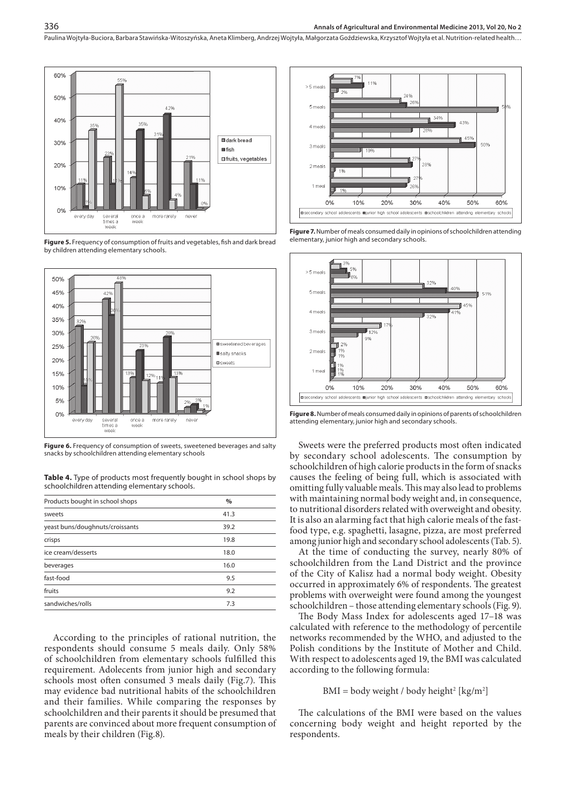

**Figure 5.** Frequency of consumption of fruits and vegetables, fish and dark bread by children attending elementary schools.



**Figure 6.** Frequency of consumption of sweets, sweetened beverages and salty snacks by schoolchildren attending elementary schools

**Table 4.** Type of products most frequently bought in school shops by schoolchildren attending elementary schools.

| Products bought in school shops | $\%$ |
|---------------------------------|------|
| sweets                          | 41.3 |
| yeast buns/doughnuts/croissants | 39.2 |
| crisps                          | 19.8 |
| ice cream/desserts              | 18.0 |
| beverages                       | 16.0 |
| fast-food                       | 9.5  |
| fruits                          | 9.2  |
| sandwiches/rolls                | 7.3  |
|                                 |      |

According to the principles of rational nutrition, the respondents should consume 5 meals daily. Only 58% of schoolchildren from elementary schools fulfilled this requirement. Adolecents from junior high and secondary schools most often consumed 3 meals daily (Fig.7). This may evidence bad nutritional habits of the schoolchildren and their families. While comparing the responses by schoolchildren and their parents it should be presumed that parents are convinced about more frequent consumption of meals by their children (Fig.8).



**Figure 7.** Number of meals consumed daily in opinions of schoolchildren attending elementary, junior high and secondary schools.



**Figure 8.** Number of meals consumed daily in opinions of parents of schoolchildren attending elementary, junior high and secondary schools.

Sweets were the preferred products most often indicated by secondary school adolescents. The consumption by schoolchildren of high calorie products in the form of snacks causes the feeling of being full, which is associated with omitting fully valuable meals. This may also lead to problems with maintaining normal body weight and, in consequence, to nutritional disorders related with overweight and obesity. It is also an alarming fact that high calorie meals of the fastfood type, e.g. spaghetti, lasagne, pizza, are most preferred among junior high and secondary school adolescents (Tab. 5).

At the time of conducting the survey, nearly 80% of schoolchildren from the Land District and the province of the City of Kalisz had a normal body weight. Obesity occurred in approximately 6% of respondents. The greatest problems with overweight were found among the youngest schoolchildren – those attending elementary schools (Fig. 9).

The Body Mass Index for adolescents aged 17–18 was calculated with reference to the methodology of percentile networks recommended by the WHO, and adjusted to the Polish conditions by the Institute of Mother and Child. With respect to adolescents aged 19, the BMI was calculated according to the following formula:

#### $BMI = body weight / body height^{2} [kg/m^{2}]$

The calculations of the BMI were based on the values concerning body weight and height reported by the respondents.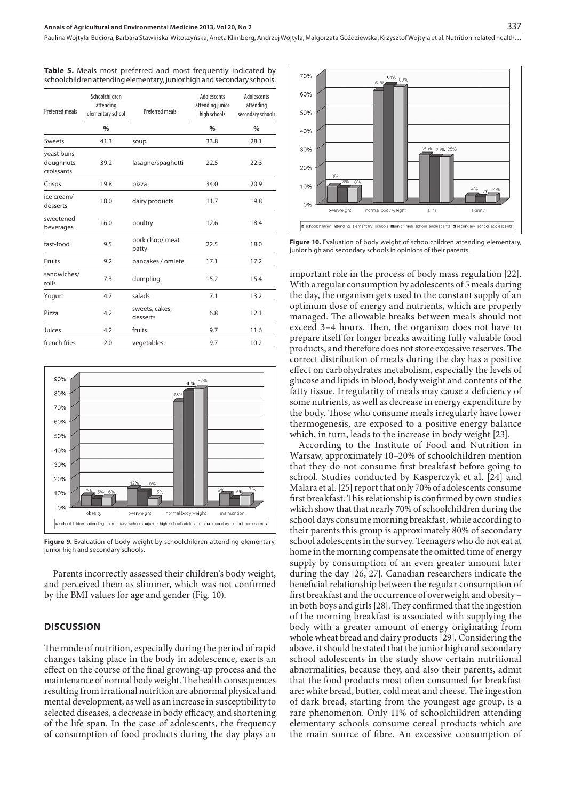| <b>Preferred meals</b>                | Schoolchildren<br>attending<br>elementary school | Preferred meals            | Adolescents<br>attending junior<br>high schools | <b>Adolescents</b><br>attending<br>secondary schools |
|---------------------------------------|--------------------------------------------------|----------------------------|-------------------------------------------------|------------------------------------------------------|
|                                       | $\frac{0}{0}$                                    |                            | $\frac{0}{n}$                                   | $\frac{0}{0}$                                        |
| <b>Sweets</b>                         | 41.3                                             | soup                       | 33.8                                            | 28.1                                                 |
| yeast buns<br>doughnuts<br>croissants | 39.2                                             | lasagne/spaghetti          | 22.5                                            | 22.3                                                 |
| Crisps                                | 19.8                                             | pizza                      | 34.0                                            | 20.9                                                 |
| ice cream/<br>desserts                | 18.0                                             | dairy products             | 11.7                                            | 19.8                                                 |
| sweetened<br>beverages                | 16.0                                             | poultry                    | 12.6                                            | 18.4                                                 |
| fast-food                             | 9.5                                              | pork chop/ meat<br>patty   | 22.5                                            | 18.0                                                 |
| Fruits                                | 9.2                                              | pancakes / omlete          | 17.1                                            | 17.2                                                 |
| sandwiches/<br>rolls                  | 7.3                                              | dumpling                   | 15.2                                            | 15.4                                                 |
| Yogurt                                | 4.7                                              | salads                     | 7.1                                             | 13.2                                                 |
| Pizza                                 | 4.2                                              | sweets, cakes,<br>desserts | 6.8                                             | 12.1                                                 |
| Juices                                | 4.2                                              | fruits                     | 9.7                                             | 11.6                                                 |
| french fries                          | 2.0                                              | vegetables                 | 9.7                                             | 10.2                                                 |

**Table 5.** Meals most preferred and most frequently indicated by schoolchildren attending elementary, junior high and secondary schools.



**Figure 9.** Evaluation of body weight by schoolchildren attending elementary, iunior high and secondary schools.

Parents incorrectly assessed their children's body weight, and perceived them as slimmer, which was not confirmed by the BMI values for age and gender (Fig. 10).

#### **DISCUSSION**

The mode of nutrition, especially during the period of rapid changes taking place in the body in adolescence, exerts an effect on the course of the final growing-up process and the maintenance of normal body weight. The health consequences resulting from irrational nutrition are abnormal physical and mental development, as well as an increase in susceptibility to selected diseases, a decrease in body efficacy, and shortening of the life span. In the case of adolescents, the frequency of consumption of food products during the day plays an



**Figure 10.** Evaluation of body weight of schoolchildren attending elementary junior high and secondary schools in opinions of their parents.

important role in the process of body mass regulation [22]. With a regular consumption by adolescents of 5 meals during the day, the organism gets used to the constant supply of an optimum dose of energy and nutrients, which are properly managed. The allowable breaks between meals should not exceed 3–4 hours. Then, the organism does not have to prepare itself for longer breaks awaiting fully valuable food products, and therefore does not store excessive reserves. The correct distribution of meals during the day has a positive effect on carbohydrates metabolism, especially the levels of glucose and lipids in blood, body weight and contents of the fatty tissue. Irregularity of meals may cause a deficiency of some nutrients, as well as decrease in energy expenditure by the body. Those who consume meals irregularly have lower thermogenesis, are exposed to a positive energy balance which, in turn, leads to the increase in body weight [23].

According to the Institute of Food and Nutrition in Warsaw, approximately 10–20% of schoolchildren mention that they do not consume first breakfast before going to school. Studies conducted by Kasperczyk et al. [24] and Malara et al. [25] report that only 70% of adolescents consume first breakfast. This relationship is confirmed by own studies which show that that nearly 70% of schoolchildren during the school days consume morning breakfast, while according to their parents this group is approximately 80% of secondary school adolescents in the survey. Teenagers who do not eat at home in the morning compensate the omitted time of energy supply by consumption of an even greater amount later during the day [26, 27]. Canadian researchers indicate the beneficial relationship between the regular consumption of first breakfast and the occurrence of overweight and obesity – in both boys and girls [28]. They confirmed that the ingestion of the morning breakfast is associated with supplying the body with a greater amount of energy originating from whole wheat bread and dairy products [29]. Considering the above, it should be stated that the junior high and secondary school adolescents in the study show certain nutritional abnormalities, because they, and also their parents, admit that the food products most often consumed for breakfast are: white bread, butter, cold meat and cheese. The ingestion of dark bread, starting from the youngest age group, is a rare phenomenon. Only 11% of schoolchildren attending elementary schools consume cereal products which are the main source of fibre. An excessive consumption of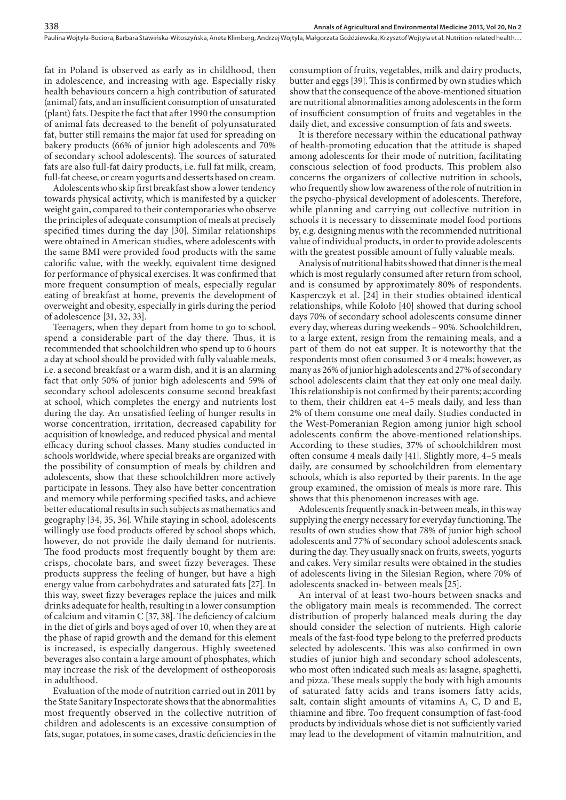fat in Poland is observed as early as in childhood, then in adolescence, and increasing with age. Especially risky health behaviours concern a high contribution of saturated (animal) fats, and an insufficient consumption of unsaturated (plant) fats. Despite the fact that after 1990 the consumption of animal fats decreased to the benefit of polyunsaturated fat, butter still remains the major fat used for spreading on bakery products (66% of junior high adolescents and 70% of secondary school adolescents). The sources of saturated fats are also full-fat dairy products, i.e. full fat milk, cream, full-fat cheese, or cream yogurts and desserts based on cream.

Adolescents who skip first breakfast show a lower tendency towards physical activity, which is manifested by a quicker weight gain, compared to their contemporaries who observe the principles of adequate consumption of meals at precisely specified times during the day [30]. Similar relationships were obtained in American studies, where adolescents with the same BMI were provided food products with the same calorific value, with the weekly, equivalent time designed for performance of physical exercises. It was confirmed that more frequent consumption of meals, especially regular eating of breakfast at home, prevents the development of overweight and obesity, especially in girls during the period of adolescence [31, 32, 33].

Teenagers, when they depart from home to go to school, spend a considerable part of the day there. Thus, it is recommended that schoolchildren who spend up to 6 hours a day at school should be provided with fully valuable meals, i.e. a second breakfast or a warm dish, and it is an alarming fact that only 50% of junior high adolescents and 59% of secondary school adolescents consume second breakfast at school, which completes the energy and nutrients lost during the day. An unsatisfied feeling of hunger results in worse concentration, irritation, decreased capability for acquisition of knowledge, and reduced physical and mental efficacy during school classes. Many studies conducted in schools worldwide, where special breaks are organized with the possibility of consumption of meals by children and adolescents, show that these schoolchildren more actively participate in lessons. They also have better concentration and memory while performing specified tasks, and achieve better educational results in such subjects as mathematics and geography [34, 35, 36]. While staying in school, adolescents willingly use food products offered by school shops which, however, do not provide the daily demand for nutrients. The food products most frequently bought by them are: crisps, chocolate bars, and sweet fizzy beverages. These products suppress the feeling of hunger, but have a high energy value from carbohydrates and saturated fats [27]. In this way, sweet fizzy beverages replace the juices and milk drinks adequate for health, resulting in a lower consumption of calcium and vitamin C [37, 38]. The deficiency of calcium in the diet of girls and boys aged of over 10, when they are at the phase of rapid growth and the demand for this element is increased, is especially dangerous. Highly sweetened beverages also contain a large amount of phosphates, which may increase the risk of the development of ostheoporosis in adulthood.

Evaluation of the mode of nutrition carried out in 2011 by the State Sanitary Inspectorate shows that the abnormalities most frequently observed in the collective nutrition of children and adolescents is an excessive consumption of fats, sugar, potatoes, in some cases, drastic deficiencies in the

consumption of fruits, vegetables, milk and dairy products, butter and eggs [39].This is confirmed by own studies which show that the consequence of the above-mentioned situation are nutritional abnormalities among adolescents in the form of insufficient consumption of fruits and vegetables in the daily diet, and excessive consumption of fats and sweets.

It is therefore necessary within the educational pathway of health-promoting education that the attitude is shaped among adolescents for their mode of nutrition, facilitating conscious selection of food products. This problem also concerns the organizers of collective nutrition in schools, who frequently show low awareness of the role of nutrition in the psycho-physical development of adolescents. Therefore, while planning and carrying out collective nutrition in schools it is necessary to disseminate model food portions by, e.g. designing menus with the recommended nutritional value of individual products, in order to provide adolescents with the greatest possible amount of fully valuable meals.

Analysis of nutritional habits showed that dinner is the meal which is most regularly consumed after return from school, and is consumed by approximately 80% of respondents. Kasperczyk et al. [24] in their studies obtained identical relationships, while Kołoło [40] showed that during school days 70% of secondary school adolescents consume dinner every day, whereas during weekends – 90%. Schoolchildren, to a large extent, resign from the remaining meals, and a part of them do not eat supper. It is noteworthy that the respondents most often consumed 3 or 4 meals; however, as many as 26% of junior high adolescents and 27% of secondary school adolescents claim that they eat only one meal daily. This relationship is not confirmed by their parents; according to them, their children eat 4–5 meals daily, and less than 2% of them consume one meal daily. Studies conducted in the West-Pomeranian Region among junior high school adolescents confirm the above-mentioned relationships. According to these studies, 37% of schoolchildren most often consume 4 meals daily [41]. Slightly more, 4–5 meals daily, are consumed by schoolchildren from elementary schools, which is also reported by their parents. In the age group examined, the omission of meals is more rare. This shows that this phenomenon increases with age.

Adolescents frequently snack in-between meals, in this way supplying the energy necessary for everyday functioning. The results of own studies show that 78% of junior high school adolescents and 77% of secondary school adolescents snack during the day. They usually snack on fruits, sweets, yogurts and cakes. Very similar results were obtained in the studies of adolescents living in the Silesian Region, where 70% of adolescents snacked in- between meals [25].

An interval of at least two-hours between snacks and the obligatory main meals is recommended. The correct distribution of properly balanced meals during the day should consider the selection of nutrients. High calorie meals of the fast-food type belong to the preferred products selected by adolescents. This was also confirmed in own studies of junior high and secondary school adolescents, who most often indicated such meals as: lasagne, spaghetti, and pizza. These meals supply the body with high amounts of saturated fatty acids and trans isomers fatty acids, salt, contain slight amounts of vitamins A, C, D and E, thiamine and fibre. Too frequent consumption of fast-food products by individuals whose diet is not sufficiently varied may lead to the development of vitamin malnutrition, and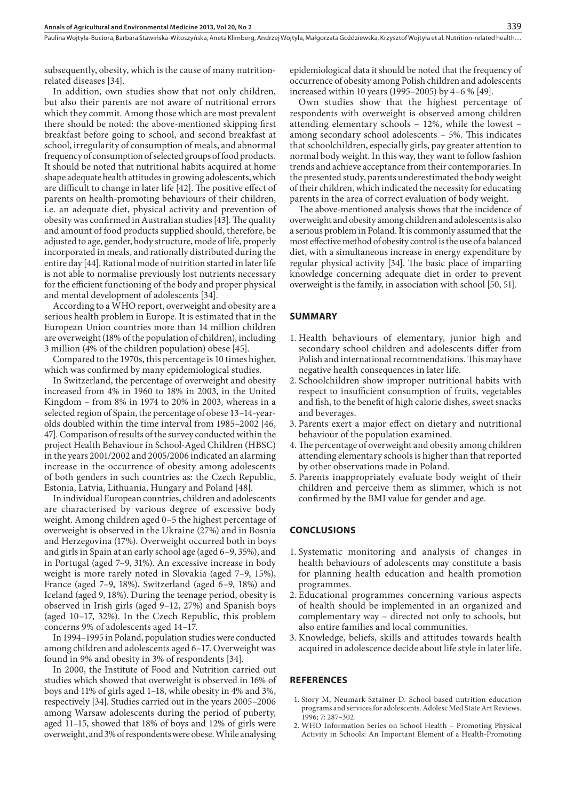subsequently, obesity, which is the cause of many nutritionrelated diseases [34].

In addition, own studies show that not only children, but also their parents are not aware of nutritional errors which they commit. Among those which are most prevalent there should be noted: the above-mentioned skipping first breakfast before going to school, and second breakfast at school, irregularity of consumption of meals, and abnormal frequency of consumption of selected groups of food products. It should be noted that nutritional habits acquired at home shape adequate health attitudes in growing adolescents, which are difficult to change in later life [42]. The positive effect of parents on health-promoting behaviours of their children, i.e. an adequate diet, physical activity and prevention of obesity was confirmed in Australian studies [43]. The quality and amount of food products supplied should, therefore, be adjusted to age, gender, body structure, mode of life, properly incorporated in meals, and rationally distributed during the entire day [44]. Rational mode of nutrition started in later life is not able to normalise previously lost nutrients necessary for the efficient functioning of the body and proper physical and mental development of adolescents [34].

According to a WHO report, overweight and obesity are a serious health problem in Europe. It is estimated that in the European Union countries more than 14 million children are overweight (18% of the population of children), including 3 million (4% of the children population) obese [45].

Compared to the 1970s, this percentage is 10 times higher, which was confirmed by many epidemiological studies.

In Switzerland, the percentage of overweight and obesity increased from 4% in 1960 to 18% in 2003, in the United Kingdom – from 8% in 1974 to 20% in 2003, whereas in a selected region of Spain, the percentage of obese 13–14-yearolds doubled within the time interval from 1985–2002 [46, 47]. Comparison of results of the survey conducted within the project Health Behaviour in School-Aged Children (HBSC) in the years 2001/2002 and 2005/2006 indicated an alarming increase in the occurrence of obesity among adolescents of both genders in such countries as: the Czech Republic, Estonia, Latvia, Lithuania, Hungary and Poland [48].

In individual European countries, children and adolescents are characterised by various degree of excessive body weight. Among children aged 0–5 the highest percentage of overweight is observed in the Ukraine (27%) and in Bosnia and Herzegovina (17%). Overweight occurred both in boys and girls in Spain at an early school age (aged 6–9, 35%), and in Portugal (aged 7–9, 31%). An excessive increase in body weight is more rarely noted in Slovakia (aged 7–9, 15%), France (aged 7–9, 18%), Switzerland (aged 6–9, 18%) and Iceland (aged 9, 18%). During the teenage period, obesity is observed in Irish girls (aged 9–12, 27%) and Spanish boys (aged 10–17, 32%). In the Czech Republic, this problem concerns 9% of adolescents aged 14–17.

In 1994–1995 in Poland, population studies were conducted among children and adolescents aged 6–17. Overweight was found in 9% and obesity in 3% of respondents [34].

In 2000, the Institute of Food and Nutrition carried out studies which showed that overweight is observed in 16% of boys and 11% of girls aged 1–18, while obesity in 4% and 3%, respectively [34]. Studies carried out in the years 2005–2006 among Warsaw adolescents during the period of puberty, aged 11–15, showed that 18% of boys and 12% of girls were overweight, and 3% of respondents were obese. While analysing

epidemiological data it should be noted that the frequency of occurrence of obesity among Polish children and adolescents increased within 10 years (1995–2005) by 4–6 % [49].

Own studies show that the highest percentage of respondents with overweight is observed among children attending elementary schools – 12%, while the lowest – among secondary school adolescents – 5%. This indicates that schoolchildren, especially girls, pay greater attention to normal body weight. In this way, they want to follow fashion trends and achieve acceptance from their contemporaries. In the presented study, parents underestimated the body weight of their children, which indicated the necessity for educating parents in the area of correct evaluation of body weight.

The above-mentioned analysis shows that the incidence of overweight and obesity among children and adolescents is also a serious problem in Poland. It is commonly assumed that the most effective method of obesity control is the use of a balanced diet, with a simultaneous increase in energy expenditure by regular physical activity [34]. The basic place of imparting knowledge concerning adequate diet in order to prevent overweight is the family, in association with school [50, 51].

#### **SUMMARY**

- 1. Health behaviours of elementary, junior high and secondary school children and adolescents differ from Polish and international recommendations. This may have negative health consequences in later life.
- 2. Schoolchildren show improper nutritional habits with respect to insufficient consumption of fruits, vegetables and fish, to the benefit of high calorie dishes, sweet snacks and beverages.
- 3. Parents exert a major effect on dietary and nutritional behaviour of the population examined.
- 4.The percentage of overweight and obesity among children attending elementary schools is higher than that reported by other observations made in Poland.
- 5. Parents inappropriately evaluate body weight of their children and perceive them as slimmer, which is not confirmed by the BMI value for gender and age.

# **CONCLUSIONS**

- 1. Systematic monitoring and analysis of changes in health behaviours of adolescents may constitute a basis for planning health education and health promotion programmes.
- 2. Educational programmes concerning various aspects of health should be implemented in an organized and complementary way – directed not only to schools, but also entire families and local communities.
- 3. Knowledge, beliefs, skills and attitudes towards health acquired in adolescence decide about life style in later life.

#### **REFERENCES**

- 1. Story M, Neumark-Sztainer D. School-based nutrition education programs and services for adolescents. Adolesc Med State Art Reviews. 1996; 7: 287–302.
- 2. WHO Information Series on School Health Promoting Physical Activity in Schools: An Important Element of a Health-Promoting